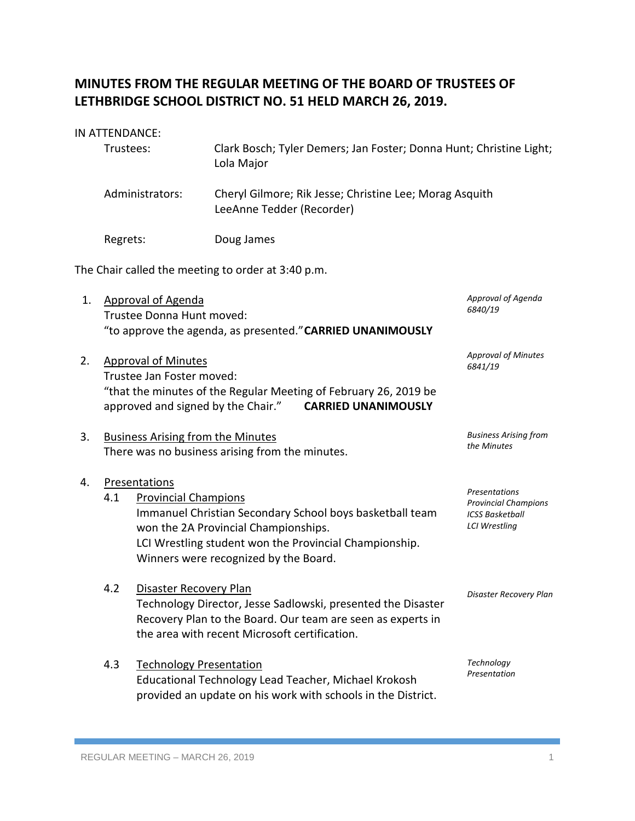# **MINUTES FROM THE REGULAR MEETING OF THE BOARD OF TRUSTEES OF LETHBRIDGE SCHOOL DISTRICT NO. 51 HELD MARCH 26, 2019.**

#### IN ATTENDANCE:

| Trustees:       | Clark Bosch; Tyler Demers; Jan Foster; Donna Hunt; Christine Light;<br>Lola Major    |
|-----------------|--------------------------------------------------------------------------------------|
| Administrators: | Cheryl Gilmore; Rik Jesse; Christine Lee; Morag Asquith<br>LeeAnne Tedder (Recorder) |
| Regrets:        | Doug James                                                                           |

The Chair called the meeting to order at 3:40 p.m.

- 1. Approval of Agenda Trustee Donna Hunt moved: "to approve the agenda, as presented."**CARRIED UNANIMOUSLY**
- 2. Approval of Minutes Trustee Jan Foster moved: "that the minutes of the Regular Meeting of February 26, 2019 be approved and signed by the Chair." **CARRIED UNANIMOUSLY** *Approval of Minutes 6841/19*
- 3. Business Arising from the Minutes There was no business arising from the minutes.
- 4. Presentations
	- 4.1 Provincial Champions Immanuel Christian Secondary School boys basketball team won the 2A Provincial Championships. LCI Wrestling student won the Provincial Championship. Winners were recognized by the Board.
	- 4.2 Disaster Recovery Plan Technology Director, Jesse Sadlowski, presented the Disaster Recovery Plan to the Board. Our team are seen as experts in the area with recent Microsoft certification.
	- 4.3 Technology Presentation Educational Technology Lead Teacher, Michael Krokosh provided an update on his work with schools in the District.

*Technology Presentation*

*Disaster Recovery Plan*

*Approval of Agenda*

*Business Arising from* 

*the Minutes*

*Presentations Provincial Champions ICSS Basketball LCI Wrestling*

*6840/19*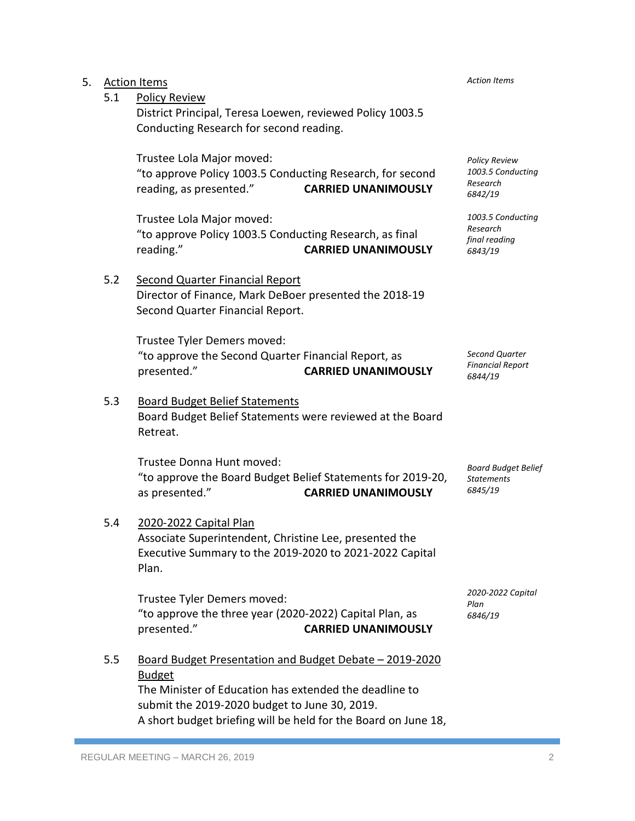| Executive Summary to the 2019-2020 to 2021-2022 Capital<br>Plan.                                                                                                                                                                                      |
|-------------------------------------------------------------------------------------------------------------------------------------------------------------------------------------------------------------------------------------------------------|
| Trustee Tyler Demers moved:<br>"to approve the three year (2020-2022) Capital Plan, as<br>presented."<br><b>CARRIED UNANIMOUSLY</b>                                                                                                                   |
| Board Budget Presentation and Budget Debate - 2019-2020<br><b>Budget</b><br>The Minister of Education has extended the deadline to<br>submit the 2019-2020 budget to June 30, 2019.<br>A short budget briefing will be held for the Board on June 18, |
|                                                                                                                                                                                                                                                       |

| 5. |     | <b>Action Items</b>                                         |                            | <b>Action Items</b>                       |
|----|-----|-------------------------------------------------------------|----------------------------|-------------------------------------------|
|    | 5.1 | <b>Policy Review</b>                                        |                            |                                           |
|    |     | District Principal, Teresa Loewen, reviewed Policy 1003.5   |                            |                                           |
|    |     | Conducting Research for second reading.                     |                            |                                           |
|    |     |                                                             |                            |                                           |
|    |     | Trustee Lola Major moved:                                   |                            | <b>Policy Review</b><br>1003.5 Conducting |
|    |     | "to approve Policy 1003.5 Conducting Research, for second   |                            | Research                                  |
|    |     | reading, as presented."                                     | <b>CARRIED UNANIMOUSLY</b> | 6842/19                                   |
|    |     | Trustee Lola Major moved:                                   |                            | 1003.5 Conducting                         |
|    |     | "to approve Policy 1003.5 Conducting Research, as final     |                            | Research                                  |
|    |     | reading."                                                   | <b>CARRIED UNANIMOUSLY</b> | final reading<br>6843/19                  |
|    |     |                                                             |                            |                                           |
|    | 5.2 | Second Quarter Financial Report                             |                            |                                           |
|    |     | Director of Finance, Mark DeBoer presented the 2018-19      |                            |                                           |
|    |     | Second Quarter Financial Report.                            |                            |                                           |
|    |     |                                                             |                            |                                           |
|    |     | Trustee Tyler Demers moved:                                 |                            |                                           |
|    |     | "to approve the Second Quarter Financial Report, as         |                            | Second Quarter                            |
|    |     | presented."                                                 | <b>CARRIED UNANIMOUSLY</b> | <b>Financial Report</b><br>6844/19        |
|    |     |                                                             |                            |                                           |
|    | 5.3 | <b>Board Budget Belief Statements</b>                       |                            |                                           |
|    |     | Board Budget Belief Statements were reviewed at the Board   |                            |                                           |
|    |     | Retreat.                                                    |                            |                                           |
|    |     |                                                             |                            |                                           |
|    |     | Trustee Donna Hunt moved:                                   |                            | <b>Board Budget Belief</b>                |
|    |     | "to approve the Board Budget Belief Statements for 2019-20, |                            | <b>Statements</b>                         |
|    |     | as presented."                                              | <b>CARRIED UNANIMOUSLY</b> | 6845/19                                   |
|    |     |                                                             |                            |                                           |
|    | 5.4 | 2020-2022 Capital Plan                                      |                            |                                           |
|    |     | Associate Superintendent, Christine Lee, presented the      |                            |                                           |
|    |     | Executive Summary to the 2019-2020 to 2021-2022 Capital     |                            |                                           |
|    |     | Plan.                                                       |                            |                                           |
|    |     | Trustee Tyler Demers moved:                                 |                            | 2020-2022 Capital                         |
|    |     | "to approve the three year (2020-2022) Capital Plan, as     |                            | Plan<br>6846/19                           |
|    |     | presented."                                                 | <b>CARRIED UNANIMOUSLY</b> |                                           |
|    |     |                                                             |                            |                                           |
|    | 5.5 | Board Budget Presentation and Budget Debate - 2019-2020     |                            |                                           |
|    |     | Rudget                                                      |                            |                                           |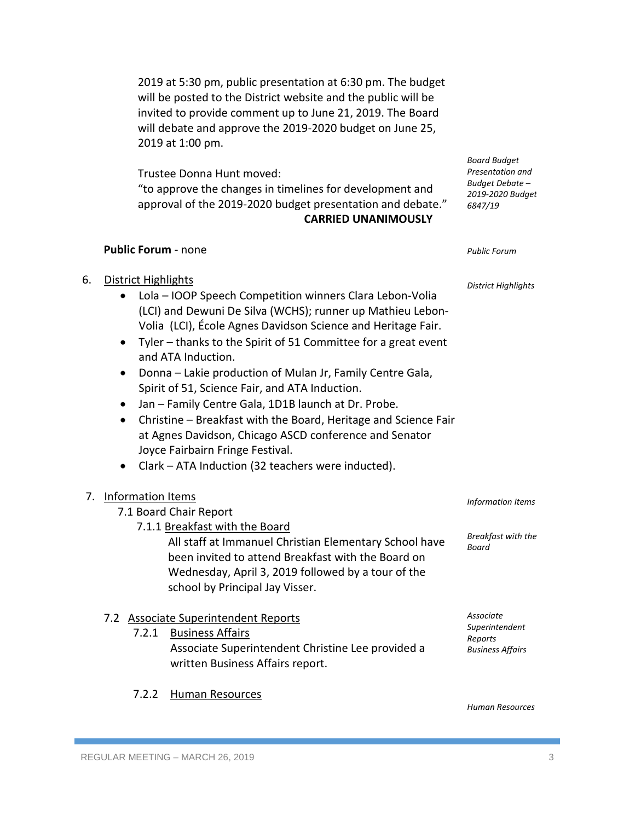2019 at 5:30 pm, public presentation at 6:30 pm. The budget will be posted to the District website and the public will be invited to provide comment up to June 21, 2019. The Board will debate and approve the 2019-2020 budget on June 25, 2019 at 1:00 pm.

Trustee Donna Hunt moved: "to approve the changes in timelines for development and approval of the 2019-2020 budget presentation and debate." **CARRIED UNANIMOUSLY**

#### **Public Forum** - none

## 6. District Highlights

- Lola IOOP Speech Competition winners Clara Lebon-Volia (LCI) and Dewuni De Silva (WCHS); runner up Mathieu Lebon-Volia (LCI), École Agnes Davidson Science and Heritage Fair.
- Tyler thanks to the Spirit of 51 Committee for a great event and ATA Induction.
- Donna Lakie production of Mulan Jr, Family Centre Gala, Spirit of 51, Science Fair, and ATA Induction.
- Jan Family Centre Gala, 1D1B launch at Dr. Probe.
- Christine Breakfast with the Board, Heritage and Science Fair at Agnes Davidson, Chicago ASCD conference and Senator Joyce Fairbairn Fringe Festival.
- Clark ATA Induction (32 teachers were inducted).

## 7. Information Items

| 7.1 Board Chair Report |  |  |  |
|------------------------|--|--|--|
|------------------------|--|--|--|

7.1.1 Breakfast with the Board All staff at Immanuel Christian Elementary School have been invited to attend Breakfast with the Board on Wednesday, April 3, 2019 followed by a tour of the school by Principal Jay Visser.

## 7.2 Associate Superintendent Reports

| 7.2.1 Business Affairs                            | Superintendent          |  |
|---------------------------------------------------|-------------------------|--|
|                                                   | Reports                 |  |
| Associate Superintendent Christine Lee provided a | <b>Business Affairs</b> |  |
| written Business Affairs report.                  |                         |  |

7.2.2 Human Resources

*Associate* 

*Information Items*

*Breakfast with the* 

*Board*

*Board Budget Presentation and Budget Debate – 2019-2020 Budget*

*6847/19*

*Public Forum*

*District Highlights*

*Human Resources*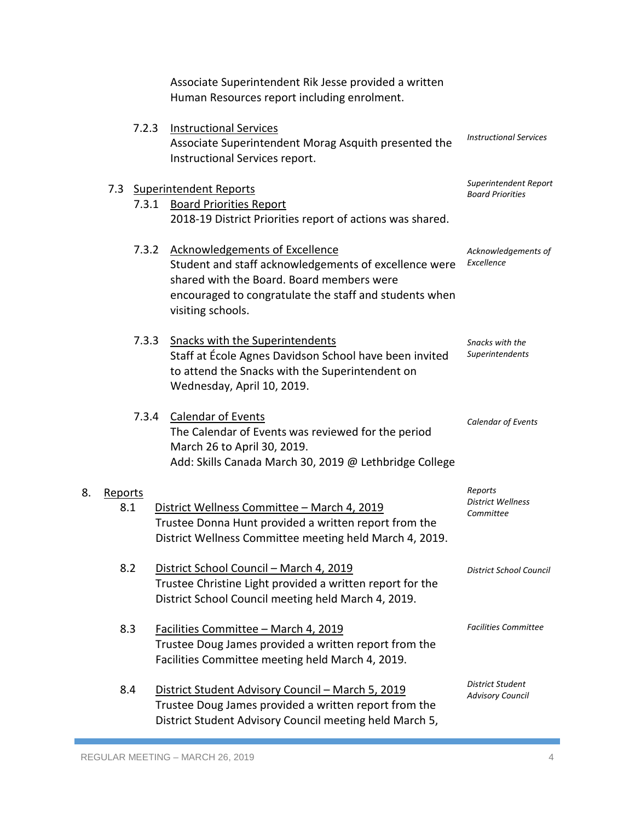|    |                       | Associate Superintendent Rik Jesse provided a written<br>Human Resources report including enrolment.                                                                                                                      |                                                  |
|----|-----------------------|---------------------------------------------------------------------------------------------------------------------------------------------------------------------------------------------------------------------------|--------------------------------------------------|
|    | 7.2.3                 | <b>Instructional Services</b><br>Associate Superintendent Morag Asquith presented the<br>Instructional Services report.                                                                                                   | <b>Instructional Services</b>                    |
|    | 7.3<br>7.3.1          | <b>Superintendent Reports</b><br><b>Board Priorities Report</b><br>2018-19 District Priorities report of actions was shared.                                                                                              | Superintendent Report<br><b>Board Priorities</b> |
|    |                       | 7.3.2 Acknowledgements of Excellence<br>Student and staff acknowledgements of excellence were<br>shared with the Board. Board members were<br>encouraged to congratulate the staff and students when<br>visiting schools. | Acknowledgements of<br>Excellence                |
|    | 7.3.3                 | Snacks with the Superintendents<br>Staff at École Agnes Davidson School have been invited<br>to attend the Snacks with the Superintendent on<br>Wednesday, April 10, 2019.                                                | Snacks with the<br>Superintendents               |
|    | 7.3.4                 | <b>Calendar of Events</b><br>The Calendar of Events was reviewed for the period<br>March 26 to April 30, 2019.<br>Add: Skills Canada March 30, 2019 @ Lethbridge College                                                  | <b>Calendar of Events</b>                        |
| 8. | <b>Reports</b><br>8.1 | District Wellness Committee - March 4, 2019<br>Trustee Donna Hunt provided a written report from the<br>District Wellness Committee meeting held March 4, 2019.                                                           | Reports<br><b>District Wellness</b><br>Committee |
|    | 8.2                   | District School Council - March 4, 2019<br>Trustee Christine Light provided a written report for the<br>District School Council meeting held March 4, 2019.                                                               | <b>District School Council</b>                   |
|    | 8.3                   | Facilities Committee - March 4, 2019<br>Trustee Doug James provided a written report from the<br>Facilities Committee meeting held March 4, 2019.                                                                         | <b>Facilities Committee</b>                      |
|    | 8.4                   | District Student Advisory Council - March 5, 2019<br>Trustee Doug James provided a written report from the<br>District Student Advisory Council meeting held March 5,                                                     | District Student<br><b>Advisory Council</b>      |